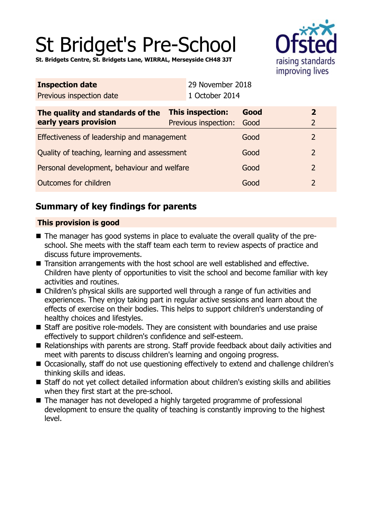# St Bridget's Pre-School

**St. Bridgets Centre, St. Bridgets Lane, WIRRAL, Merseyside CH48 3JT**



| <b>Inspection date</b>                                    |  | 29 November 2018                         |              |                                  |  |
|-----------------------------------------------------------|--|------------------------------------------|--------------|----------------------------------|--|
| Previous inspection date                                  |  | 1 October 2014                           |              |                                  |  |
| The quality and standards of the<br>early years provision |  | This inspection:<br>Previous inspection: | Good<br>Good | $\overline{2}$<br>$\overline{2}$ |  |
| Effectiveness of leadership and management                |  |                                          | Good         | $\overline{2}$                   |  |
| Quality of teaching, learning and assessment              |  |                                          | Good         | $\overline{2}$                   |  |
| Personal development, behaviour and welfare               |  |                                          | Good         | $\overline{2}$                   |  |
| <b>Outcomes for children</b>                              |  |                                          | Good         | $\overline{2}$                   |  |
|                                                           |  |                                          |              |                                  |  |

# **Summary of key findings for parents**

## **This provision is good**

- The manager has good systems in place to evaluate the overall quality of the preschool. She meets with the staff team each term to review aspects of practice and discuss future improvements.
- Transition arrangements with the host school are well established and effective. Children have plenty of opportunities to visit the school and become familiar with key activities and routines.
- Children's physical skills are supported well through a range of fun activities and experiences. They enjoy taking part in regular active sessions and learn about the effects of exercise on their bodies. This helps to support children's understanding of healthy choices and lifestyles.
- Staff are positive role-models. They are consistent with boundaries and use praise effectively to support children's confidence and self-esteem.
- Relationships with parents are strong. Staff provide feedback about daily activities and meet with parents to discuss children's learning and ongoing progress.
- Occasionally, staff do not use questioning effectively to extend and challenge children's thinking skills and ideas.
- Staff do not yet collect detailed information about children's existing skills and abilities when they first start at the pre-school.
- The manager has not developed a highly targeted programme of professional development to ensure the quality of teaching is constantly improving to the highest level.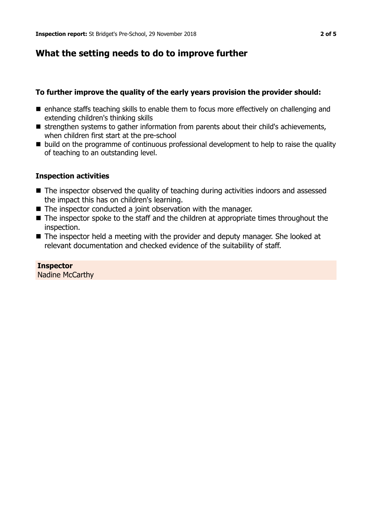## **What the setting needs to do to improve further**

### **To further improve the quality of the early years provision the provider should:**

- $\blacksquare$  enhance staffs teaching skills to enable them to focus more effectively on challenging and extending children's thinking skills
- strengthen systems to gather information from parents about their child's achievements, when children first start at the pre-school
- build on the programme of continuous professional development to help to raise the quality of teaching to an outstanding level.

#### **Inspection activities**

- $\blacksquare$  The inspector observed the quality of teaching during activities indoors and assessed the impact this has on children's learning.
- $\blacksquare$  The inspector conducted a joint observation with the manager.
- $\blacksquare$  The inspector spoke to the staff and the children at appropriate times throughout the inspection.
- The inspector held a meeting with the provider and deputy manager. She looked at relevant documentation and checked evidence of the suitability of staff.

## **Inspector**

Nadine McCarthy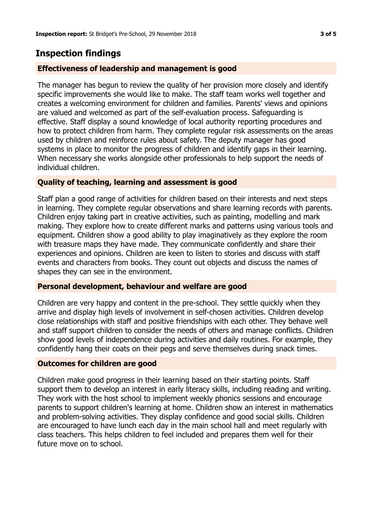## **Inspection findings**

## **Effectiveness of leadership and management is good**

The manager has begun to review the quality of her provision more closely and identify specific improvements she would like to make. The staff team works well together and creates a welcoming environment for children and families. Parents' views and opinions are valued and welcomed as part of the self-evaluation process. Safeguarding is effective. Staff display a sound knowledge of local authority reporting procedures and how to protect children from harm. They complete regular risk assessments on the areas used by children and reinforce rules about safety. The deputy manager has good systems in place to monitor the progress of children and identify gaps in their learning. When necessary she works alongside other professionals to help support the needs of individual children.

## **Quality of teaching, learning and assessment is good**

Staff plan a good range of activities for children based on their interests and next steps in learning. They complete regular observations and share learning records with parents. Children enjoy taking part in creative activities, such as painting, modelling and mark making. They explore how to create different marks and patterns using various tools and equipment. Children show a good ability to play imaginatively as they explore the room with treasure maps they have made. They communicate confidently and share their experiences and opinions. Children are keen to listen to stories and discuss with staff events and characters from books. They count out objects and discuss the names of shapes they can see in the environment.

### **Personal development, behaviour and welfare are good**

Children are very happy and content in the pre-school. They settle quickly when they arrive and display high levels of involvement in self-chosen activities. Children develop close relationships with staff and positive friendships with each other. They behave well and staff support children to consider the needs of others and manage conflicts. Children show good levels of independence during activities and daily routines. For example, they confidently hang their coats on their pegs and serve themselves during snack times.

### **Outcomes for children are good**

Children make good progress in their learning based on their starting points. Staff support them to develop an interest in early literacy skills, including reading and writing. They work with the host school to implement weekly phonics sessions and encourage parents to support children's learning at home. Children show an interest in mathematics and problem-solving activities. They display confidence and good social skills. Children are encouraged to have lunch each day in the main school hall and meet regularly with class teachers. This helps children to feel included and prepares them well for their future move on to school.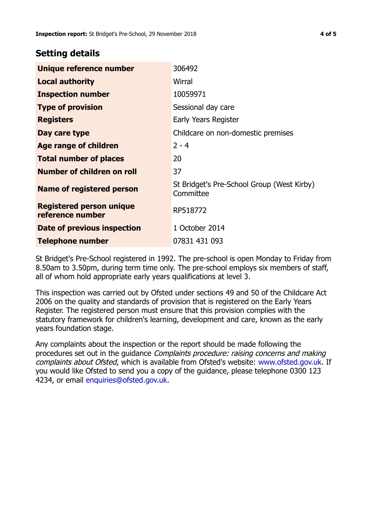## **Setting details**

| Unique reference number                             | 306492                                                  |  |
|-----------------------------------------------------|---------------------------------------------------------|--|
| <b>Local authority</b>                              | Wirral                                                  |  |
| <b>Inspection number</b>                            | 10059971                                                |  |
| <b>Type of provision</b>                            | Sessional day care                                      |  |
| <b>Registers</b>                                    | Early Years Register                                    |  |
| Day care type                                       | Childcare on non-domestic premises                      |  |
| Age range of children                               | $2 - 4$                                                 |  |
| <b>Total number of places</b>                       | 20                                                      |  |
| <b>Number of children on roll</b>                   | 37                                                      |  |
| Name of registered person                           | St Bridget's Pre-School Group (West Kirby)<br>Committee |  |
| <b>Registered person unique</b><br>reference number | RP518772                                                |  |
| <b>Date of previous inspection</b>                  | 1 October 2014                                          |  |
| <b>Telephone number</b>                             | 07831 431 093                                           |  |

St Bridget's Pre-School registered in 1992. The pre-school is open Monday to Friday from 8.50am to 3.50pm, during term time only. The pre-school employs six members of staff, all of whom hold appropriate early years qualifications at level 3.

This inspection was carried out by Ofsted under sections 49 and 50 of the Childcare Act 2006 on the quality and standards of provision that is registered on the Early Years Register. The registered person must ensure that this provision complies with the statutory framework for children's learning, development and care, known as the early years foundation stage.

Any complaints about the inspection or the report should be made following the procedures set out in the guidance Complaints procedure: raising concerns and making complaints about Ofsted, which is available from Ofsted's website: www.ofsted.gov.uk. If you would like Ofsted to send you a copy of the guidance, please telephone 0300 123 4234, or email [enquiries@ofsted.gov.uk.](mailto:enquiries@ofsted.gov.uk)